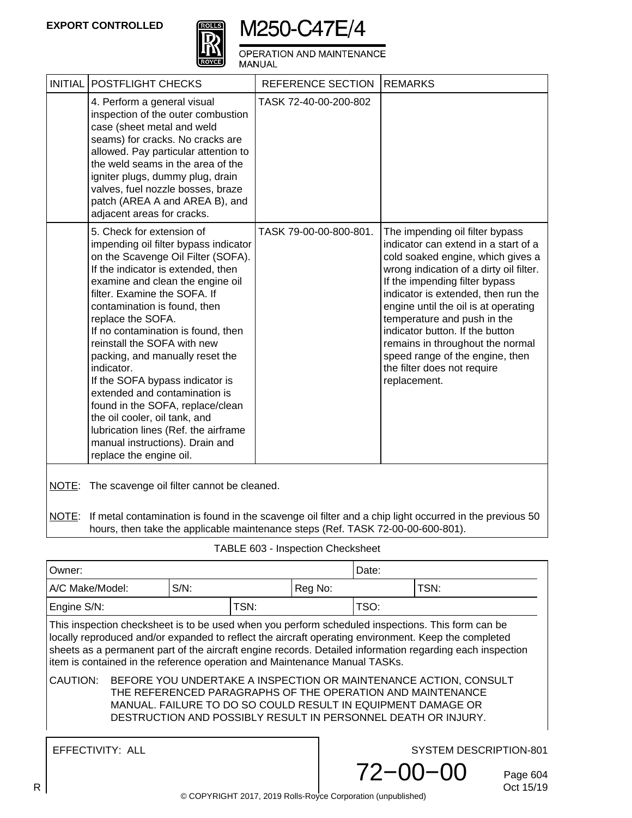

OPERATION AND MAINTENANCE<br>MANUAL

|       | INITIAL   POSTFLIGHT CHECKS                                                                                                                                                                                                                                                                                                                                                                                                                                                                                                                                                                                                                  | <b>REFERENCE SECTION</b> | <b>REMARKS</b>                                                                                                                                                                                                                                                                                                                                                                                                                                                   |
|-------|----------------------------------------------------------------------------------------------------------------------------------------------------------------------------------------------------------------------------------------------------------------------------------------------------------------------------------------------------------------------------------------------------------------------------------------------------------------------------------------------------------------------------------------------------------------------------------------------------------------------------------------------|--------------------------|------------------------------------------------------------------------------------------------------------------------------------------------------------------------------------------------------------------------------------------------------------------------------------------------------------------------------------------------------------------------------------------------------------------------------------------------------------------|
|       | 4. Perform a general visual<br>inspection of the outer combustion<br>case (sheet metal and weld<br>seams) for cracks. No cracks are<br>allowed. Pay particular attention to<br>the weld seams in the area of the<br>igniter plugs, dummy plug, drain<br>valves, fuel nozzle bosses, braze<br>patch (AREA A and AREA B), and<br>adjacent areas for cracks.                                                                                                                                                                                                                                                                                    | TASK 72-40-00-200-802    |                                                                                                                                                                                                                                                                                                                                                                                                                                                                  |
|       | 5. Check for extension of<br>impending oil filter bypass indicator<br>on the Scavenge Oil Filter (SOFA).<br>If the indicator is extended, then<br>examine and clean the engine oil<br>filter. Examine the SOFA. If<br>contamination is found, then<br>replace the SOFA.<br>If no contamination is found, then<br>reinstall the SOFA with new<br>packing, and manually reset the<br>indicator.<br>If the SOFA bypass indicator is<br>extended and contamination is<br>found in the SOFA, replace/clean<br>the oil cooler, oil tank, and<br>lubrication lines (Ref. the airframe<br>manual instructions). Drain and<br>replace the engine oil. | TASK 79-00-00-800-801.   | The impending oil filter bypass<br>indicator can extend in a start of a<br>cold soaked engine, which gives a<br>wrong indication of a dirty oil filter.<br>If the impending filter bypass<br>indicator is extended, then run the<br>engine until the oil is at operating<br>temperature and push in the<br>indicator button. If the button<br>remains in throughout the normal<br>speed range of the engine, then<br>the filter does not require<br>replacement. |
|       | NOTE: The scavenge oil filter cannot be cleaned.                                                                                                                                                                                                                                                                                                                                                                                                                                                                                                                                                                                             |                          |                                                                                                                                                                                                                                                                                                                                                                                                                                                                  |
| NOTE: | If metal contamination is found in the scavenge oil filter and a chip light occurred in the previous 50<br>hours, then take the applicable maintenance steps (Ref. TASK 72-00-00-600-801).                                                                                                                                                                                                                                                                                                                                                                                                                                                   |                          |                                                                                                                                                                                                                                                                                                                                                                                                                                                                  |

| Owner:                                                                                                                                                                                                                                                                                                                                                                                               |  |         |      |                        | Date: |                            |  |  |
|------------------------------------------------------------------------------------------------------------------------------------------------------------------------------------------------------------------------------------------------------------------------------------------------------------------------------------------------------------------------------------------------------|--|---------|------|------------------------|-------|----------------------------|--|--|
| A/C Make/Model:                                                                                                                                                                                                                                                                                                                                                                                      |  | $S/N$ : |      | Reg No:                | TSN:  |                            |  |  |
| Engine S/N:                                                                                                                                                                                                                                                                                                                                                                                          |  |         | TSN: |                        | TSO:  |                            |  |  |
| This inspection checksheet is to be used when you perform scheduled inspections. This form can be<br>locally reproduced and/or expanded to reflect the aircraft operating environment. Keep the completed<br>sheets as a permanent part of the aircraft engine records. Detailed information regarding each inspection<br>item is contained in the reference operation and Maintenance Manual TASKs. |  |         |      |                        |       |                            |  |  |
| CAUTION:<br>BEFORE YOU UNDERTAKE A INSPECTION OR MAINTENANCE ACTION, CONSULT<br>THE REFERENCED PARAGRAPHS OF THE OPERATION AND MAINTENANCE<br>MANUAL. FAILURE TO DO SO COULD RESULT IN EQUIPMENT DAMAGE OR<br>DESTRUCTION AND POSSIBLY RESULT IN PERSONNEL DEATH OR INJURY.                                                                                                                          |  |         |      |                        |       |                            |  |  |
| EFFECTIVITY: ALL                                                                                                                                                                                                                                                                                                                                                                                     |  |         |      | SYSTEM DESCRIPTION-801 |       |                            |  |  |
|                                                                                                                                                                                                                                                                                                                                                                                                      |  |         |      | $72 - 00 - 00$         |       | Page 604<br><b>CHAFIAC</b> |  |  |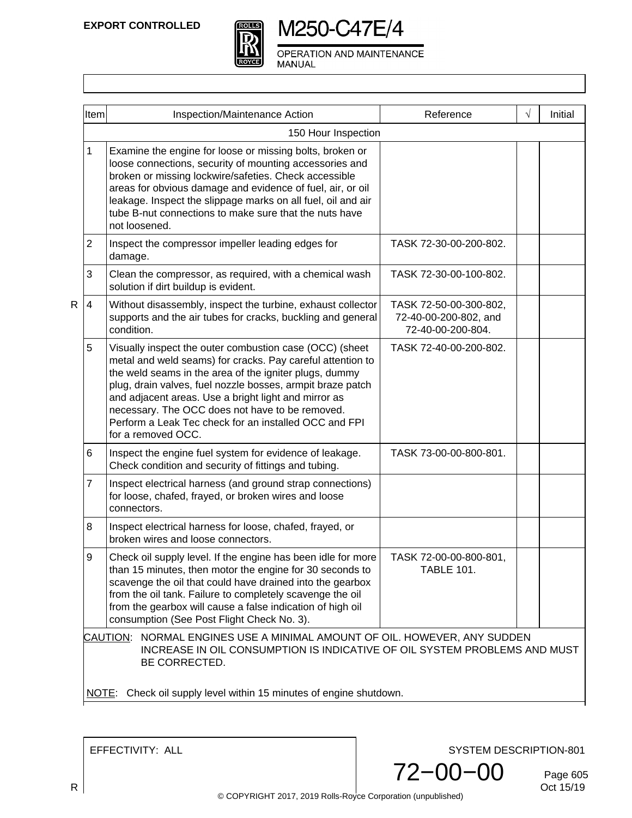

OPERATION AND MAINTENANCE MANUAL

|   | Item                                                                                                                                                                      | Inspection/Maintenance Action                                                                                                                                                                                                                                                                                                                                                                                                           | Reference                                                            | $\sqrt{ }$ | Initial |  |
|---|---------------------------------------------------------------------------------------------------------------------------------------------------------------------------|-----------------------------------------------------------------------------------------------------------------------------------------------------------------------------------------------------------------------------------------------------------------------------------------------------------------------------------------------------------------------------------------------------------------------------------------|----------------------------------------------------------------------|------------|---------|--|
|   |                                                                                                                                                                           | 150 Hour Inspection                                                                                                                                                                                                                                                                                                                                                                                                                     |                                                                      |            |         |  |
|   | 1                                                                                                                                                                         | Examine the engine for loose or missing bolts, broken or<br>loose connections, security of mounting accessories and<br>broken or missing lockwire/safeties. Check accessible<br>areas for obvious damage and evidence of fuel, air, or oil<br>leakage. Inspect the slippage marks on all fuel, oil and air<br>tube B-nut connections to make sure that the nuts have<br>not loosened.                                                   |                                                                      |            |         |  |
|   | $\overline{2}$                                                                                                                                                            | Inspect the compressor impeller leading edges for<br>damage.                                                                                                                                                                                                                                                                                                                                                                            | TASK 72-30-00-200-802.                                               |            |         |  |
|   | 3                                                                                                                                                                         | Clean the compressor, as required, with a chemical wash<br>solution if dirt buildup is evident.                                                                                                                                                                                                                                                                                                                                         | TASK 72-30-00-100-802.                                               |            |         |  |
| R | 4                                                                                                                                                                         | Without disassembly, inspect the turbine, exhaust collector<br>supports and the air tubes for cracks, buckling and general<br>condition.                                                                                                                                                                                                                                                                                                | TASK 72-50-00-300-802,<br>72-40-00-200-802, and<br>72-40-00-200-804. |            |         |  |
|   | 5                                                                                                                                                                         | Visually inspect the outer combustion case (OCC) (sheet<br>metal and weld seams) for cracks. Pay careful attention to<br>the weld seams in the area of the igniter plugs, dummy<br>plug, drain valves, fuel nozzle bosses, armpit braze patch<br>and adjacent areas. Use a bright light and mirror as<br>necessary. The OCC does not have to be removed.<br>Perform a Leak Tec check for an installed OCC and FPI<br>for a removed OCC. | TASK 72-40-00-200-802.                                               |            |         |  |
|   | 6                                                                                                                                                                         | Inspect the engine fuel system for evidence of leakage.<br>Check condition and security of fittings and tubing.                                                                                                                                                                                                                                                                                                                         | TASK 73-00-00-800-801.                                               |            |         |  |
|   | $\overline{7}$                                                                                                                                                            | Inspect electrical harness (and ground strap connections)<br>for loose, chafed, frayed, or broken wires and loose<br>connectors.                                                                                                                                                                                                                                                                                                        |                                                                      |            |         |  |
|   | 8                                                                                                                                                                         | Inspect electrical harness for loose, chafed, frayed, or<br>broken wires and loose connectors.                                                                                                                                                                                                                                                                                                                                          |                                                                      |            |         |  |
|   | 9                                                                                                                                                                         | Check oil supply level. If the engine has been idle for more<br>than 15 minutes, then motor the engine for 30 seconds to<br>scavenge the oil that could have drained into the gearbox<br>from the oil tank. Failure to completely scavenge the oil<br>from the gearbox will cause a false indication of high oil<br>consumption (See Post Flight Check No. 3).                                                                          | TASK 72-00-00-800-801,<br>TABLE 101.                                 |            |         |  |
|   | NORMAL ENGINES USE A MINIMAL AMOUNT OF OIL. HOWEVER, ANY SUDDEN<br>CAUTION:<br>INCREASE IN OIL CONSUMPTION IS INDICATIVE OF OIL SYSTEM PROBLEMS AND MUST<br>BE CORRECTED. |                                                                                                                                                                                                                                                                                                                                                                                                                                         |                                                                      |            |         |  |
|   | NOTE:                                                                                                                                                                     | Check oil supply level within 15 minutes of engine shutdown.                                                                                                                                                                                                                                                                                                                                                                            |                                                                      |            |         |  |

EFFECTIVITY: ALL

SYSTEM DESCRIPTION-801

72−00−00

Page 605<br>Oct 15/19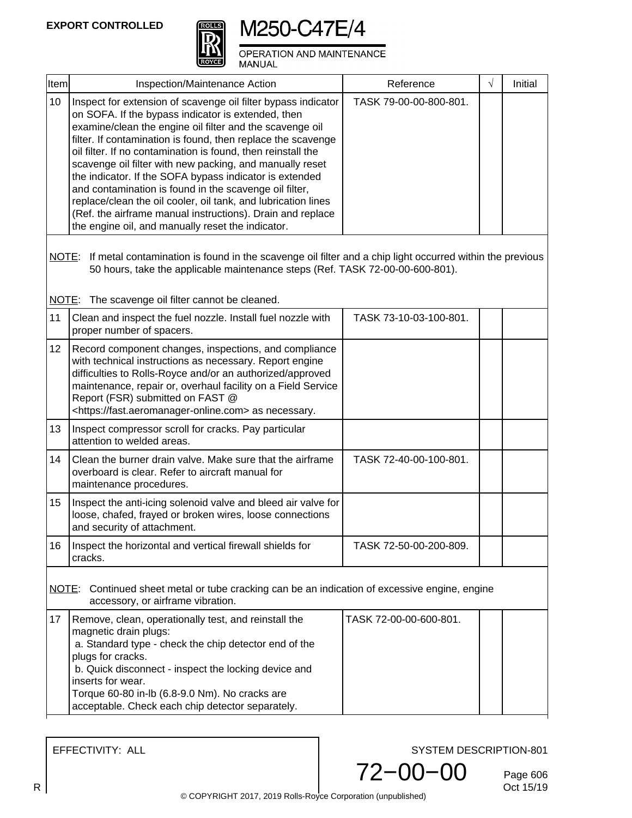| τ<br>Ó<br>u, |
|--------------|
|              |
|              |
|              |

OPERATION AND MAINTENANCE MANUAL

| <b>Item</b> | Inspection/Maintenance Action                                                                                                                                                                                                                                                                                                                                                                                                                                                                                                                                                                                                                                                        | Reference              | $\sqrt{}$ | Initial |
|-------------|--------------------------------------------------------------------------------------------------------------------------------------------------------------------------------------------------------------------------------------------------------------------------------------------------------------------------------------------------------------------------------------------------------------------------------------------------------------------------------------------------------------------------------------------------------------------------------------------------------------------------------------------------------------------------------------|------------------------|-----------|---------|
| 10          | Inspect for extension of scavenge oil filter bypass indicator<br>on SOFA. If the bypass indicator is extended, then<br>examine/clean the engine oil filter and the scavenge oil<br>filter. If contamination is found, then replace the scavenge<br>oil filter. If no contamination is found, then reinstall the<br>scavenge oil filter with new packing, and manually reset<br>the indicator. If the SOFA bypass indicator is extended<br>and contamination is found in the scavenge oil filter,<br>replace/clean the oil cooler, oil tank, and lubrication lines<br>(Ref. the airframe manual instructions). Drain and replace<br>the engine oil, and manually reset the indicator. | TASK 79-00-00-800-801. |           |         |
|             | NOTE: If metal contamination is found in the scavenge oil filter and a chip light occurred within the previous<br>50 hours, take the applicable maintenance steps (Ref. TASK 72-00-00-600-801).                                                                                                                                                                                                                                                                                                                                                                                                                                                                                      |                        |           |         |
|             | NOTE: The scavenge oil filter cannot be cleaned.                                                                                                                                                                                                                                                                                                                                                                                                                                                                                                                                                                                                                                     |                        |           |         |
| 11          | Clean and inspect the fuel nozzle. Install fuel nozzle with<br>proper number of spacers.                                                                                                                                                                                                                                                                                                                                                                                                                                                                                                                                                                                             | TASK 73-10-03-100-801. |           |         |
| 12          | Record component changes, inspections, and compliance<br>with technical instructions as necessary. Report engine<br>difficulties to Rolls-Royce and/or an authorized/approved<br>maintenance, repair or, overhaul facility on a Field Service<br>Report (FSR) submitted on FAST @<br><https: fast.aeromanager-online.com=""> as necessary.</https:>                                                                                                                                                                                                                                                                                                                                  |                        |           |         |
| 13          | Inspect compressor scroll for cracks. Pay particular<br>attention to welded areas.                                                                                                                                                                                                                                                                                                                                                                                                                                                                                                                                                                                                   |                        |           |         |
| 14          | Clean the burner drain valve. Make sure that the airframe<br>overboard is clear. Refer to aircraft manual for<br>maintenance procedures.                                                                                                                                                                                                                                                                                                                                                                                                                                                                                                                                             | TASK 72-40-00-100-801. |           |         |
| 15          | Inspect the anti-icing solenoid valve and bleed air valve for<br>loose, chafed, frayed or broken wires, loose connections<br>and security of attachment.                                                                                                                                                                                                                                                                                                                                                                                                                                                                                                                             |                        |           |         |
| 16          | Inspect the horizontal and vertical firewall shields for<br>cracks.                                                                                                                                                                                                                                                                                                                                                                                                                                                                                                                                                                                                                  | TASK 72-50-00-200-809. |           |         |
|             | NOTE: Continued sheet metal or tube cracking can be an indication of excessive engine, engine<br>accessory, or airframe vibration.                                                                                                                                                                                                                                                                                                                                                                                                                                                                                                                                                   |                        |           |         |
| 17          | Remove, clean, operationally test, and reinstall the<br>magnetic drain plugs:<br>a. Standard type - check the chip detector end of the<br>plugs for cracks.<br>b. Quick disconnect - inspect the locking device and<br>inserts for wear.<br>Torque 60-80 in-lb (6.8-9.0 Nm). No cracks are<br>acceptable. Check each chip detector separately.                                                                                                                                                                                                                                                                                                                                       | TASK 72-00-00-600-801. |           |         |

EFFECTIVITY: ALL

SYSTEM DESCRIPTION-801

72−00−00

Page 606<br>Oct 15/19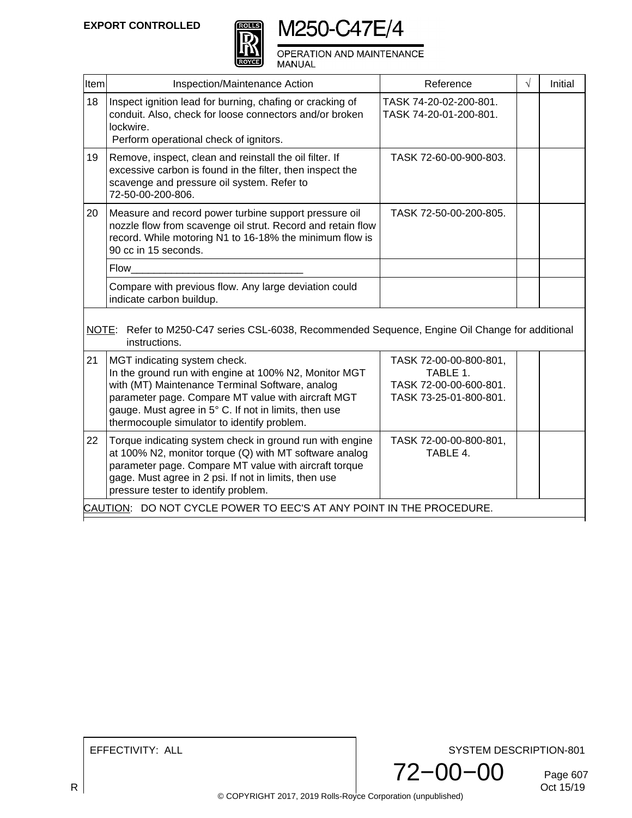

OPERATION AND MAINTENANCE<br>MANUAL

| Item | Inspection/Maintenance Action                                                                                                                                                                                                                                                                          | Reference                                                                              | $\sqrt{ }$ | Initial |
|------|--------------------------------------------------------------------------------------------------------------------------------------------------------------------------------------------------------------------------------------------------------------------------------------------------------|----------------------------------------------------------------------------------------|------------|---------|
| 18   | Inspect ignition lead for burning, chafing or cracking of<br>conduit. Also, check for loose connectors and/or broken<br>lockwire.<br>Perform operational check of ignitors.                                                                                                                            | TASK 74-20-02-200-801.<br>TASK 74-20-01-200-801.                                       |            |         |
| 19   | Remove, inspect, clean and reinstall the oil filter. If<br>excessive carbon is found in the filter, then inspect the<br>scavenge and pressure oil system. Refer to<br>72-50-00-200-806.                                                                                                                | TASK 72-60-00-900-803.                                                                 |            |         |
| 20   | Measure and record power turbine support pressure oil<br>nozzle flow from scavenge oil strut. Record and retain flow<br>record. While motoring N1 to 16-18% the minimum flow is<br>90 cc in 15 seconds.                                                                                                | TASK 72-50-00-200-805.                                                                 |            |         |
|      | <b>Flow</b>                                                                                                                                                                                                                                                                                            |                                                                                        |            |         |
|      | Compare with previous flow. Any large deviation could<br>indicate carbon buildup.                                                                                                                                                                                                                      |                                                                                        |            |         |
|      | NOTE: Refer to M250-C47 series CSL-6038, Recommended Sequence, Engine Oil Change for additional<br>instructions.                                                                                                                                                                                       |                                                                                        |            |         |
| 21   | MGT indicating system check.<br>In the ground run with engine at 100% N2, Monitor MGT<br>with (MT) Maintenance Terminal Software, analog<br>parameter page. Compare MT value with aircraft MGT<br>gauge. Must agree in 5° C. If not in limits, then use<br>thermocouple simulator to identify problem. | TASK 72-00-00-800-801,<br>TABLE 1.<br>TASK 72-00-00-600-801.<br>TASK 73-25-01-800-801. |            |         |
| 22   | Torque indicating system check in ground run with engine<br>at 100% N2, monitor torque $(Q)$ with MT software analog<br>parameter page. Compare MT value with aircraft torque<br>gage. Must agree in 2 psi. If not in limits, then use<br>pressure tester to identify problem.                         | TASK 72-00-00-800-801,<br>TABLE 4.                                                     |            |         |
|      | CAUTION: DO NOT CYCLE POWER TO EEC'S AT ANY POINT IN THE PROCEDURE.                                                                                                                                                                                                                                    |                                                                                        |            |         |

EFFECTIVITY: ALL

SYSTEM DESCRIPTION-801



Page 607<br>Oct 15/19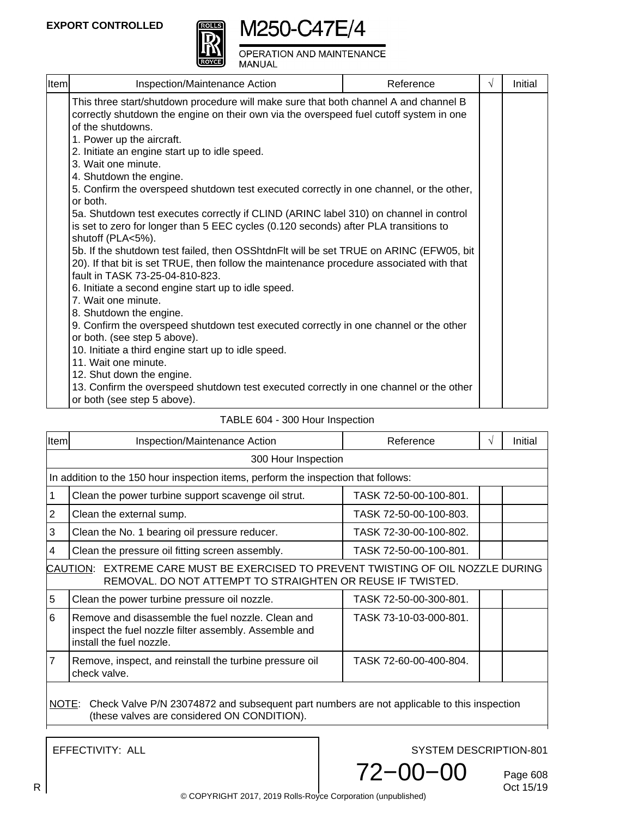

OPERATION AND MAINTENANCE **MANUAL** 

| Item | Inspection/Maintenance Action                                                                                                                                                                                                                                                                                                                                                                                                                                                                                                                                                                                                                                                                | Reference | $\sqrt{ }$ | Initial |
|------|----------------------------------------------------------------------------------------------------------------------------------------------------------------------------------------------------------------------------------------------------------------------------------------------------------------------------------------------------------------------------------------------------------------------------------------------------------------------------------------------------------------------------------------------------------------------------------------------------------------------------------------------------------------------------------------------|-----------|------------|---------|
|      | This three start/shutdown procedure will make sure that both channel A and channel B<br>correctly shutdown the engine on their own via the overspeed fuel cutoff system in one<br>of the shutdowns.<br>1. Power up the aircraft.<br>2. Initiate an engine start up to idle speed.<br>3. Wait one minute.<br>4. Shutdown the engine.<br>5. Confirm the overspeed shutdown test executed correctly in one channel, or the other,<br>or both.<br>5a. Shutdown test executes correctly if CLIND (ARINC label 310) on channel in control<br>is set to zero for longer than 5 EEC cycles (0.120 seconds) after PLA transitions to<br>shutoff (PLA<5%).                                             |           |            |         |
|      | 5b. If the shutdown test failed, then OSShtdnFlt will be set TRUE on ARINC (EFW05, bit<br>20). If that bit is set TRUE, then follow the maintenance procedure associated with that<br>fault in TASK 73-25-04-810-823.<br>6. Initiate a second engine start up to idle speed.<br>7. Wait one minute.<br>8. Shutdown the engine.<br>9. Confirm the overspeed shutdown test executed correctly in one channel or the other<br>or both. (see step 5 above).<br>10. Initiate a third engine start up to idle speed.<br>11. Wait one minute.<br>12. Shut down the engine.<br>13. Confirm the overspeed shutdown test executed correctly in one channel or the other<br>or both (see step 5 above). |           |            |         |

#### TABLE 604 - 300 Hour Inspection

| Item                                                                                                                                           | <b>Inspection/Maintenance Action</b>                                                                                                   | Reference              | V | Initial |  |  |  |
|------------------------------------------------------------------------------------------------------------------------------------------------|----------------------------------------------------------------------------------------------------------------------------------------|------------------------|---|---------|--|--|--|
|                                                                                                                                                | 300 Hour Inspection                                                                                                                    |                        |   |         |  |  |  |
|                                                                                                                                                | In addition to the 150 hour inspection items, perform the inspection that follows:                                                     |                        |   |         |  |  |  |
|                                                                                                                                                | Clean the power turbine support scavenge oil strut.                                                                                    | TASK 72-50-00-100-801. |   |         |  |  |  |
| $\overline{2}$                                                                                                                                 | Clean the external sump.                                                                                                               | TASK 72-50-00-100-803. |   |         |  |  |  |
| 3                                                                                                                                              | Clean the No. 1 bearing oil pressure reducer.                                                                                          | TASK 72-30-00-100-802. |   |         |  |  |  |
| 4                                                                                                                                              | Clean the pressure oil fitting screen assembly.                                                                                        | TASK 72-50-00-100-801. |   |         |  |  |  |
| CAUTION: EXTREME CARE MUST BE EXERCISED TO PREVENT TWISTING OF OIL NOZZLE DURING<br>REMOVAL. DO NOT ATTEMPT TO STRAIGHTEN OR REUSE IF TWISTED. |                                                                                                                                        |                        |   |         |  |  |  |
| 5                                                                                                                                              | Clean the power turbine pressure oil nozzle.                                                                                           | TASK 72-50-00-300-801. |   |         |  |  |  |
| 6                                                                                                                                              | Remove and disassemble the fuel nozzle. Clean and<br>inspect the fuel nozzle filter assembly. Assemble and<br>install the fuel nozzle. | TASK 73-10-03-000-801. |   |         |  |  |  |
| 7                                                                                                                                              | Remove, inspect, and reinstall the turbine pressure oil<br>check valve.                                                                | TASK 72-60-00-400-804. |   |         |  |  |  |
|                                                                                                                                                | NOTE: Check Valve P/N 23074872 and subsequent part numbers are not applicable to this inspection                                       |                        |   |         |  |  |  |

(these valves are considered ON CONDITION).

EFFECTIVITY: ALL

SYSTEM DESCRIPTION-801

72−00−00

Page 608<br>Oct 15/19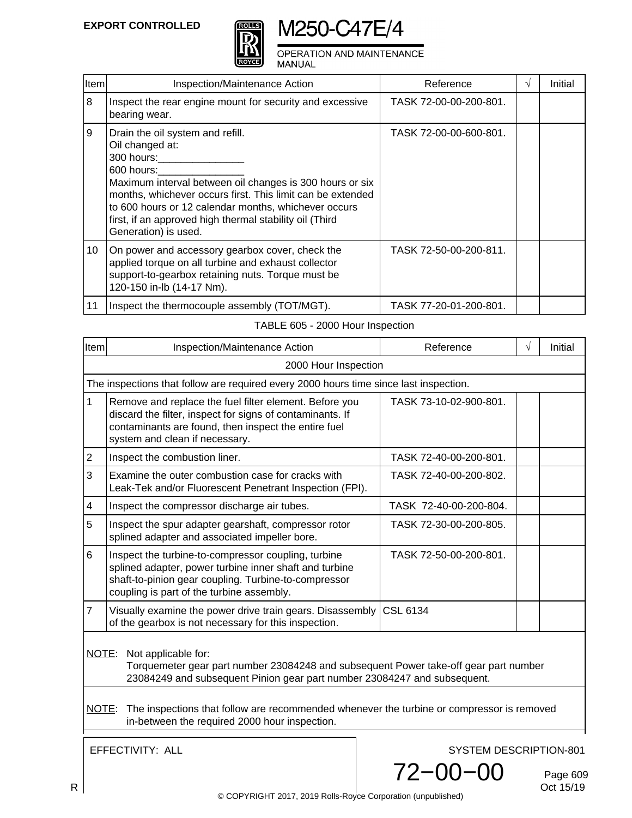

OPERATION AND MAINTENANCE

MANUAL

| <b>Item</b> | Inspection/Maintenance Action                                                                                                                                                                                                                                                                                                                        | Reference              | $\mathcal{N}$ | Initial |
|-------------|------------------------------------------------------------------------------------------------------------------------------------------------------------------------------------------------------------------------------------------------------------------------------------------------------------------------------------------------------|------------------------|---------------|---------|
| 8           | Inspect the rear engine mount for security and excessive<br>bearing wear.                                                                                                                                                                                                                                                                            | TASK 72-00-00-200-801. |               |         |
| 9           | Drain the oil system and refill.<br>Oil changed at:<br>300 hours:<br>600 hours:<br>Maximum interval between oil changes is 300 hours or six<br>months, whichever occurs first. This limit can be extended<br>to 600 hours or 12 calendar months, whichever occurs<br>first, if an approved high thermal stability oil (Third<br>Generation) is used. | TASK 72-00-00-600-801. |               |         |
| 10          | On power and accessory gearbox cover, check the<br>applied torque on all turbine and exhaust collector<br>support-to-gearbox retaining nuts. Torque must be<br>120-150 in-lb (14-17 Nm).                                                                                                                                                             | TASK 72-50-00-200-811. |               |         |
| 11          | Inspect the thermocouple assembly (TOT/MGT).                                                                                                                                                                                                                                                                                                         | TASK 77-20-01-200-801. |               |         |

### TABLE 605 - 2000 Hour Inspection

| Item                                                                                                                                                                                             | Inspection/Maintenance Action                                                                                                                                                                                      | Reference              | $\sqrt{ }$ | Initial |  |  |  |
|--------------------------------------------------------------------------------------------------------------------------------------------------------------------------------------------------|--------------------------------------------------------------------------------------------------------------------------------------------------------------------------------------------------------------------|------------------------|------------|---------|--|--|--|
|                                                                                                                                                                                                  | 2000 Hour Inspection                                                                                                                                                                                               |                        |            |         |  |  |  |
|                                                                                                                                                                                                  | The inspections that follow are required every 2000 hours time since last inspection.                                                                                                                              |                        |            |         |  |  |  |
| 1                                                                                                                                                                                                | Remove and replace the fuel filter element. Before you<br>discard the filter, inspect for signs of contaminants. If<br>contaminants are found, then inspect the entire fuel<br>system and clean if necessary.      | TASK 73-10-02-900-801. |            |         |  |  |  |
| $\overline{2}$                                                                                                                                                                                   | Inspect the combustion liner.                                                                                                                                                                                      | TASK 72-40-00-200-801. |            |         |  |  |  |
| 3                                                                                                                                                                                                | Examine the outer combustion case for cracks with<br>Leak-Tek and/or Fluorescent Penetrant Inspection (FPI).                                                                                                       | TASK 72-40-00-200-802. |            |         |  |  |  |
| 4                                                                                                                                                                                                | Inspect the compressor discharge air tubes.                                                                                                                                                                        | TASK 72-40-00-200-804. |            |         |  |  |  |
| 5                                                                                                                                                                                                | Inspect the spur adapter gearshaft, compressor rotor<br>splined adapter and associated impeller bore.                                                                                                              | TASK 72-30-00-200-805. |            |         |  |  |  |
| 6                                                                                                                                                                                                | Inspect the turbine-to-compressor coupling, turbine<br>splined adapter, power turbine inner shaft and turbine<br>shaft-to-pinion gear coupling. Turbine-to-compressor<br>coupling is part of the turbine assembly. | TASK 72-50-00-200-801. |            |         |  |  |  |
| $\overline{7}$                                                                                                                                                                                   | Visually examine the power drive train gears. Disassembly<br>of the gearbox is not necessary for this inspection.                                                                                                  | <b>CSL 6134</b>        |            |         |  |  |  |
| NOTE:<br>Not applicable for:<br>Torquemeter gear part number 23084248 and subsequent Power take-off gear part number<br>23084249 and subsequent Pinion gear part number 23084247 and subsequent. |                                                                                                                                                                                                                    |                        |            |         |  |  |  |
|                                                                                                                                                                                                  | NOTE: The inspections that follow are recommended whenever the turbine or compressor is removed<br>in-between the required 2000 hour inspection.                                                                   |                        |            |         |  |  |  |
|                                                                                                                                                                                                  | EFFECTIVITY: ALL<br>SYSTEM DESCRIPTION-801                                                                                                                                                                         |                        |            |         |  |  |  |

Page 609<br>Oct 15/19

72−00−00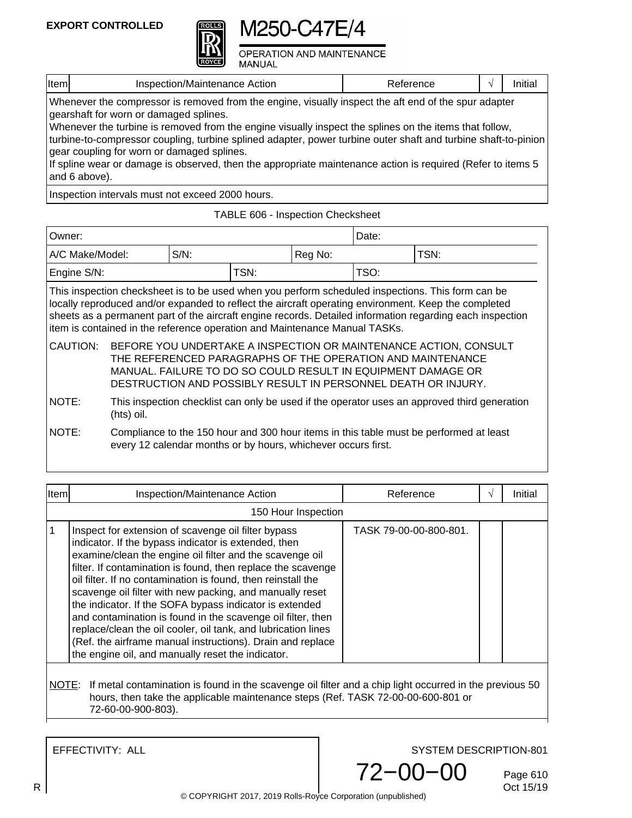

**OPERATION AND MAINTENANCE MANUAL** 

|  | Item | $\sqrt{ }$<br>$-1$<br>Action<br>ction/Mair<br>≀≙ו<br>menance | י וטכ |  | шис |
|--|------|--------------------------------------------------------------|-------|--|-----|
|--|------|--------------------------------------------------------------|-------|--|-----|

Whenever the compressor is removed from the engine, visually inspect the aft end of the spur adapter gearshaft for worn or damaged splines.

Whenever the turbine is removed from the engine visually inspect the splines on the items that follow, turbine-to-compressor coupling, turbine splined adapter, power turbine outer shaft and turbine shaft-to-pinion gear coupling for worn or damaged splines.

If spline wear or damage is observed, then the appropriate maintenance action is required (Refer to items 5 and 6 above).

Inspection intervals must not exceed 2000 hours.

TABLE 606 - Inspection Checksheet

| Owner:                                                                                                                                                                                                                                                                                                                                                                                               |                                                                                                                                                                                                                                                                 |         |                                                               | Date:   |  |                                                                                        |
|------------------------------------------------------------------------------------------------------------------------------------------------------------------------------------------------------------------------------------------------------------------------------------------------------------------------------------------------------------------------------------------------------|-----------------------------------------------------------------------------------------------------------------------------------------------------------------------------------------------------------------------------------------------------------------|---------|---------------------------------------------------------------|---------|--|----------------------------------------------------------------------------------------|
| A/C Make/Model:                                                                                                                                                                                                                                                                                                                                                                                      |                                                                                                                                                                                                                                                                 | $S/N$ : |                                                               | Reg No: |  | TSN:                                                                                   |
| Engine S/N:                                                                                                                                                                                                                                                                                                                                                                                          |                                                                                                                                                                                                                                                                 |         | TSN:                                                          | TSO:    |  |                                                                                        |
| This inspection checksheet is to be used when you perform scheduled inspections. This form can be<br>locally reproduced and/or expanded to reflect the aircraft operating environment. Keep the completed<br>sheets as a permanent part of the aircraft engine records. Detailed information regarding each inspection<br>item is contained in the reference operation and Maintenance Manual TASKs. |                                                                                                                                                                                                                                                                 |         |                                                               |         |  |                                                                                        |
| CAUTION:                                                                                                                                                                                                                                                                                                                                                                                             | BEFORE YOU UNDERTAKE A INSPECTION OR MAINTENANCE ACTION, CONSULT<br>THE REFERENCED PARAGRAPHS OF THE OPERATION AND MAINTENANCE<br>MANUAL. FAILURE TO DO SO COULD RESULT IN EQUIPMENT DAMAGE OR<br>DESTRUCTION AND POSSIBLY RESULT IN PERSONNEL DEATH OR INJURY. |         |                                                               |         |  |                                                                                        |
| NOTE:                                                                                                                                                                                                                                                                                                                                                                                                | This inspection checklist can only be used if the operator uses an approved third generation<br>(hts) oil.                                                                                                                                                      |         |                                                               |         |  |                                                                                        |
| NOTE:                                                                                                                                                                                                                                                                                                                                                                                                |                                                                                                                                                                                                                                                                 |         | every 12 calendar months or by hours, whichever occurs first. |         |  | Compliance to the 150 hour and 300 hour items in this table must be performed at least |

| Item | Inspection/Maintenance Action                                                                                                                                                                                                                                                                                                                                                                                                                                                                                                                                                                                                                                                     | Reference              | $\sqrt{ }$ | Initial |
|------|-----------------------------------------------------------------------------------------------------------------------------------------------------------------------------------------------------------------------------------------------------------------------------------------------------------------------------------------------------------------------------------------------------------------------------------------------------------------------------------------------------------------------------------------------------------------------------------------------------------------------------------------------------------------------------------|------------------------|------------|---------|
|      | 150 Hour Inspection                                                                                                                                                                                                                                                                                                                                                                                                                                                                                                                                                                                                                                                               |                        |            |         |
|      | Inspect for extension of scavenge oil filter bypass<br>indicator. If the bypass indicator is extended, then<br>examine/clean the engine oil filter and the scavenge oil<br>filter. If contamination is found, then replace the scavenge<br>oil filter. If no contamination is found, then reinstall the<br>scavenge oil filter with new packing, and manually reset<br>the indicator. If the SOFA bypass indicator is extended<br>and contamination is found in the scavenge oil filter, then<br>replace/clean the oil cooler, oil tank, and lubrication lines<br>(Ref. the airframe manual instructions). Drain and replace<br>the engine oil, and manually reset the indicator. | TASK 79-00-00-800-801. |            |         |

#### metal contamination is found in the scavenge oil filter and a chip light occurred in the previous 50 hours, then take the applicable maintenance steps (Ref. TASK 72-00-00-600-801 or 72-60-00-900-803).

EFFECTIVITY: ALL

SYSTEM DESCRIPTION-801

72−00−00

Page 610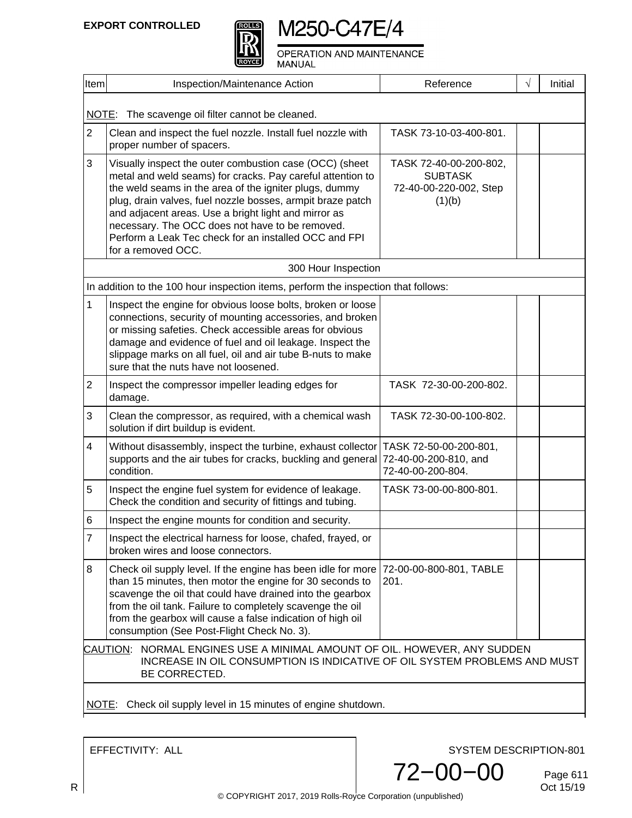



OPERATION AND MAINTENANCE MANUAL

| Item                                                                                                                                                                   | Inspection/Maintenance Action                                                                                                                                                                                                                                                                                                                                                                                                           | Reference                                                                    | $\sqrt{}$ | Initial |  |  |
|------------------------------------------------------------------------------------------------------------------------------------------------------------------------|-----------------------------------------------------------------------------------------------------------------------------------------------------------------------------------------------------------------------------------------------------------------------------------------------------------------------------------------------------------------------------------------------------------------------------------------|------------------------------------------------------------------------------|-----------|---------|--|--|
|                                                                                                                                                                        |                                                                                                                                                                                                                                                                                                                                                                                                                                         |                                                                              |           |         |  |  |
| The scavenge oil filter cannot be cleaned.<br>NOTE:                                                                                                                    |                                                                                                                                                                                                                                                                                                                                                                                                                                         |                                                                              |           |         |  |  |
| $\overline{2}$                                                                                                                                                         | Clean and inspect the fuel nozzle. Install fuel nozzle with<br>proper number of spacers.                                                                                                                                                                                                                                                                                                                                                | TASK 73-10-03-400-801.                                                       |           |         |  |  |
| 3                                                                                                                                                                      | Visually inspect the outer combustion case (OCC) (sheet<br>metal and weld seams) for cracks. Pay careful attention to<br>the weld seams in the area of the igniter plugs, dummy<br>plug, drain valves, fuel nozzle bosses, armpit braze patch<br>and adjacent areas. Use a bright light and mirror as<br>necessary. The OCC does not have to be removed.<br>Perform a Leak Tec check for an installed OCC and FPI<br>for a removed OCC. | TASK 72-40-00-200-802,<br><b>SUBTASK</b><br>72-40-00-220-002, Step<br>(1)(b) |           |         |  |  |
|                                                                                                                                                                        | 300 Hour Inspection                                                                                                                                                                                                                                                                                                                                                                                                                     |                                                                              |           |         |  |  |
|                                                                                                                                                                        | In addition to the 100 hour inspection items, perform the inspection that follows:                                                                                                                                                                                                                                                                                                                                                      |                                                                              |           |         |  |  |
| 1                                                                                                                                                                      | Inspect the engine for obvious loose bolts, broken or loose<br>connections, security of mounting accessories, and broken<br>or missing safeties. Check accessible areas for obvious<br>damage and evidence of fuel and oil leakage. Inspect the<br>slippage marks on all fuel, oil and air tube B-nuts to make<br>sure that the nuts have not loosened.                                                                                 |                                                                              |           |         |  |  |
| $\overline{2}$                                                                                                                                                         | Inspect the compressor impeller leading edges for<br>damage.                                                                                                                                                                                                                                                                                                                                                                            | TASK 72-30-00-200-802.                                                       |           |         |  |  |
| 3                                                                                                                                                                      | Clean the compressor, as required, with a chemical wash<br>solution if dirt buildup is evident.                                                                                                                                                                                                                                                                                                                                         | TASK 72-30-00-100-802.                                                       |           |         |  |  |
| 4                                                                                                                                                                      | Without disassembly, inspect the turbine, exhaust collector<br>supports and the air tubes for cracks, buckling and general<br>condition.                                                                                                                                                                                                                                                                                                | TASK 72-50-00-200-801,<br>72-40-00-200-810, and<br>72-40-00-200-804.         |           |         |  |  |
| 5                                                                                                                                                                      | Inspect the engine fuel system for evidence of leakage.<br>Check the condition and security of fittings and tubing.                                                                                                                                                                                                                                                                                                                     | TASK 73-00-00-800-801.                                                       |           |         |  |  |
| 6                                                                                                                                                                      | Inspect the engine mounts for condition and security.                                                                                                                                                                                                                                                                                                                                                                                   |                                                                              |           |         |  |  |
| 7                                                                                                                                                                      | Inspect the electrical harness for loose, chafed, frayed, or<br>broken wires and loose connectors.                                                                                                                                                                                                                                                                                                                                      |                                                                              |           |         |  |  |
| 8                                                                                                                                                                      | Check oil supply level. If the engine has been idle for more 72-00-00-800-801, TABLE<br>than 15 minutes, then motor the engine for 30 seconds to<br>scavenge the oil that could have drained into the gearbox<br>from the oil tank. Failure to completely scavenge the oil<br>from the gearbox will cause a false indication of high oil<br>consumption (See Post-Flight Check No. 3).                                                  | 201.                                                                         |           |         |  |  |
| CAUTION: NORMAL ENGINES USE A MINIMAL AMOUNT OF OIL. HOWEVER, ANY SUDDEN<br>INCREASE IN OIL CONSUMPTION IS INDICATIVE OF OIL SYSTEM PROBLEMS AND MUST<br>BE CORRECTED. |                                                                                                                                                                                                                                                                                                                                                                                                                                         |                                                                              |           |         |  |  |
|                                                                                                                                                                        | NOTE: Check oil supply level in 15 minutes of engine shutdown.                                                                                                                                                                                                                                                                                                                                                                          |                                                                              |           |         |  |  |

EFFECTIVITY: ALL

SYSTEM DESCRIPTION-801



Page 611<br>Oct 15/19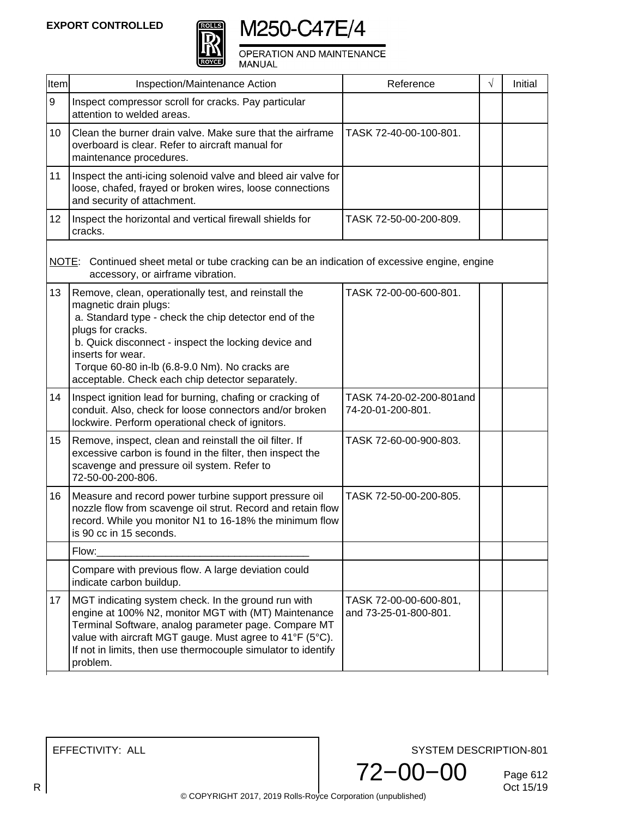



OPERATION AND MAINTENANCE MANUAL

| Item             | Inspection/Maintenance Action                                                                                                                                                                                                                                                                                                                  | Reference                                       | $\sqrt{}$ | Initial |
|------------------|------------------------------------------------------------------------------------------------------------------------------------------------------------------------------------------------------------------------------------------------------------------------------------------------------------------------------------------------|-------------------------------------------------|-----------|---------|
| $\boldsymbol{9}$ | Inspect compressor scroll for cracks. Pay particular<br>attention to welded areas.                                                                                                                                                                                                                                                             |                                                 |           |         |
| 10               | Clean the burner drain valve. Make sure that the airframe<br>overboard is clear. Refer to aircraft manual for<br>maintenance procedures.                                                                                                                                                                                                       | TASK 72-40-00-100-801.                          |           |         |
| 11               | Inspect the anti-icing solenoid valve and bleed air valve for<br>loose, chafed, frayed or broken wires, loose connections<br>and security of attachment.                                                                                                                                                                                       |                                                 |           |         |
| 12 <sub>2</sub>  | Inspect the horizontal and vertical firewall shields for<br>cracks.                                                                                                                                                                                                                                                                            | TASK 72-50-00-200-809.                          |           |         |
|                  | NOTE: Continued sheet metal or tube cracking can be an indication of excessive engine, engine<br>accessory, or airframe vibration.                                                                                                                                                                                                             |                                                 |           |         |
| 13               | Remove, clean, operationally test, and reinstall the<br>magnetic drain plugs:<br>a. Standard type - check the chip detector end of the<br>plugs for cracks.<br>b. Quick disconnect - inspect the locking device and<br>inserts for wear.<br>Torque 60-80 in-lb (6.8-9.0 Nm). No cracks are<br>acceptable. Check each chip detector separately. | TASK 72-00-00-600-801.                          |           |         |
| 14               | Inspect ignition lead for burning, chafing or cracking of<br>conduit. Also, check for loose connectors and/or broken<br>lockwire. Perform operational check of ignitors.                                                                                                                                                                       | TASK 74-20-02-200-801 and<br>74-20-01-200-801.  |           |         |
| 15               | Remove, inspect, clean and reinstall the oil filter. If<br>excessive carbon is found in the filter, then inspect the<br>scavenge and pressure oil system. Refer to<br>72-50-00-200-806.                                                                                                                                                        | TASK 72-60-00-900-803.                          |           |         |
| 16               | Measure and record power turbine support pressure oil<br>nozzle flow from scavenge oil strut. Record and retain flow<br>record. While you monitor N1 to 16-18% the minimum flow<br>is 90 cc in 15 seconds.                                                                                                                                     | TASK 72-50-00-200-805.                          |           |         |
|                  | Flow:                                                                                                                                                                                                                                                                                                                                          |                                                 |           |         |
|                  | Compare with previous flow. A large deviation could<br>indicate carbon buildup.                                                                                                                                                                                                                                                                |                                                 |           |         |
| 17               | MGT indicating system check. In the ground run with<br>engine at 100% N2, monitor MGT with (MT) Maintenance<br>Terminal Software, analog parameter page. Compare MT<br>value with aircraft MGT gauge. Must agree to 41°F (5°C).<br>If not in limits, then use thermocouple simulator to identify<br>problem.                                   | TASK 72-00-00-600-801,<br>and 73-25-01-800-801. |           |         |

EFFECTIVITY: ALL

SYSTEM DESCRIPTION-801

72−00−00

Page 612<br>Oct 15/19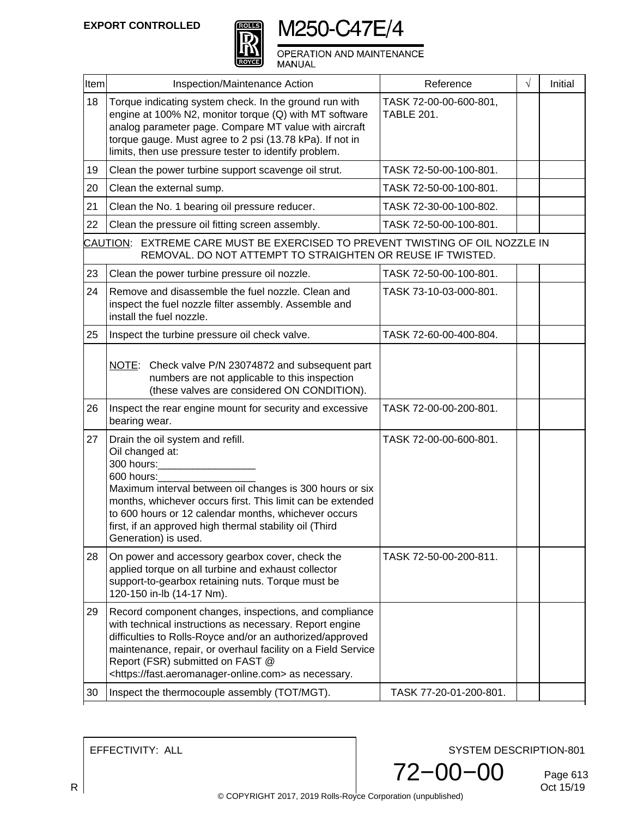

OPERATION AND MAINTENANCE<br>MANUAL

| <b>Item</b> | Inspection/Maintenance Action                                                                                                                                                                                                                                                                                                                        | Reference                                   | $\sqrt{}$ | Initial |
|-------------|------------------------------------------------------------------------------------------------------------------------------------------------------------------------------------------------------------------------------------------------------------------------------------------------------------------------------------------------------|---------------------------------------------|-----------|---------|
| 18          | Torque indicating system check. In the ground run with<br>engine at 100% N2, monitor torque (Q) with MT software<br>analog parameter page. Compare MT value with aircraft<br>torque gauge. Must agree to 2 psi (13.78 kPa). If not in<br>limits, then use pressure tester to identify problem.                                                       | TASK 72-00-00-600-801,<br><b>TABLE 201.</b> |           |         |
| 19          | Clean the power turbine support scavenge oil strut.                                                                                                                                                                                                                                                                                                  | TASK 72-50-00-100-801.                      |           |         |
| 20          | Clean the external sump.                                                                                                                                                                                                                                                                                                                             | TASK 72-50-00-100-801.                      |           |         |
| 21          | Clean the No. 1 bearing oil pressure reducer.                                                                                                                                                                                                                                                                                                        | TASK 72-30-00-100-802.                      |           |         |
| 22          | Clean the pressure oil fitting screen assembly.                                                                                                                                                                                                                                                                                                      | TASK 72-50-00-100-801.                      |           |         |
|             | CAUTION: EXTREME CARE MUST BE EXERCISED TO PREVENT TWISTING OF OIL NOZZLE IN<br>REMOVAL. DO NOT ATTEMPT TO STRAIGHTEN OR REUSE IF TWISTED.                                                                                                                                                                                                           |                                             |           |         |
| 23          | Clean the power turbine pressure oil nozzle.                                                                                                                                                                                                                                                                                                         | TASK 72-50-00-100-801.                      |           |         |
| 24          | Remove and disassemble the fuel nozzle. Clean and<br>inspect the fuel nozzle filter assembly. Assemble and<br>install the fuel nozzle.                                                                                                                                                                                                               | TASK 73-10-03-000-801.                      |           |         |
| 25          | Inspect the turbine pressure oil check valve.                                                                                                                                                                                                                                                                                                        | TASK 72-60-00-400-804.                      |           |         |
|             | NOTE: Check valve P/N 23074872 and subsequent part<br>numbers are not applicable to this inspection<br>(these valves are considered ON CONDITION).                                                                                                                                                                                                   |                                             |           |         |
| 26          | Inspect the rear engine mount for security and excessive<br>bearing wear.                                                                                                                                                                                                                                                                            | TASK 72-00-00-200-801.                      |           |         |
| 27          | Drain the oil system and refill.<br>Oil changed at:<br>300 hours:<br>600 hours:<br>Maximum interval between oil changes is 300 hours or six<br>months, whichever occurs first. This limit can be extended<br>to 600 hours or 12 calendar months, whichever occurs<br>first, if an approved high thermal stability oil (Third<br>Generation) is used. | TASK 72-00-00-600-801.                      |           |         |
| 28          | On power and accessory gearbox cover, check the<br>applied torque on all turbine and exhaust collector<br>support-to-gearbox retaining nuts. Torque must be<br>120-150 in-lb (14-17 Nm).                                                                                                                                                             | TASK 72-50-00-200-811.                      |           |         |
| 29          | Record component changes, inspections, and compliance<br>with technical instructions as necessary. Report engine<br>difficulties to Rolls-Royce and/or an authorized/approved<br>maintenance, repair, or overhaul facility on a Field Service<br>Report (FSR) submitted on FAST @<br><https: fast.aeromanager-online.com=""> as necessary.</https:>  |                                             |           |         |
| 30          | Inspect the thermocouple assembly (TOT/MGT).                                                                                                                                                                                                                                                                                                         | TASK 77-20-01-200-801.                      |           |         |

EFFECTIVITY: ALL

SYSTEM DESCRIPTION-801

72−00−00

Page 613<br>Oct 15/19